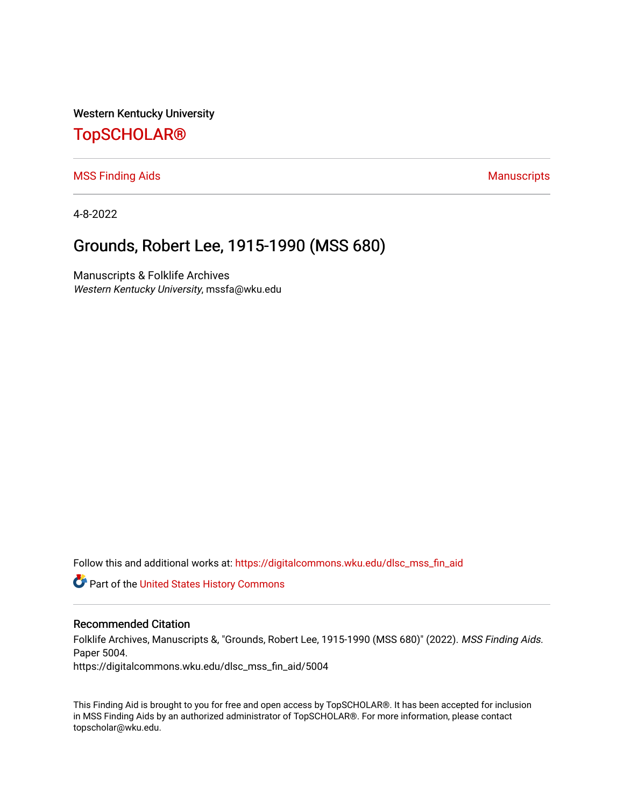Western Kentucky University

# [TopSCHOLAR®](https://digitalcommons.wku.edu/)

[MSS Finding Aids](https://digitalcommons.wku.edu/dlsc_mss_fin_aid) **Manuscripts** [Manuscripts](https://digitalcommons.wku.edu/dlsc_mss) **Manuscripts** 

4-8-2022

## Grounds, Robert Lee, 1915-1990 (MSS 680)

Manuscripts & Folklife Archives Western Kentucky University, mssfa@wku.edu

Follow this and additional works at: [https://digitalcommons.wku.edu/dlsc\\_mss\\_fin\\_aid](https://digitalcommons.wku.edu/dlsc_mss_fin_aid?utm_source=digitalcommons.wku.edu%2Fdlsc_mss_fin_aid%2F5004&utm_medium=PDF&utm_campaign=PDFCoverPages) 

Part of the [United States History Commons](http://network.bepress.com/hgg/discipline/495?utm_source=digitalcommons.wku.edu%2Fdlsc_mss_fin_aid%2F5004&utm_medium=PDF&utm_campaign=PDFCoverPages) 

#### Recommended Citation

Folklife Archives, Manuscripts &, "Grounds, Robert Lee, 1915-1990 (MSS 680)" (2022). MSS Finding Aids. Paper 5004.

https://digitalcommons.wku.edu/dlsc\_mss\_fin\_aid/5004

This Finding Aid is brought to you for free and open access by TopSCHOLAR®. It has been accepted for inclusion in MSS Finding Aids by an authorized administrator of TopSCHOLAR®. For more information, please contact topscholar@wku.edu.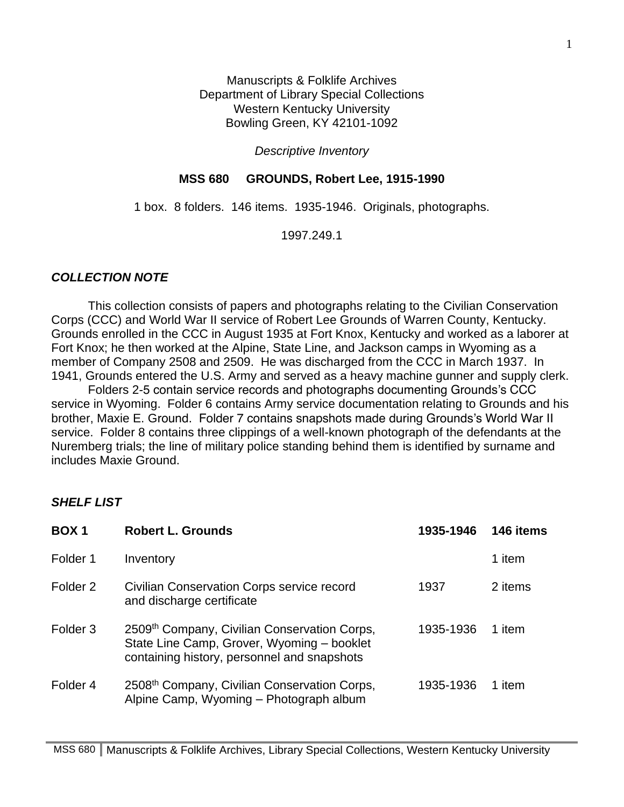Manuscripts & Folklife Archives Department of Library Special Collections Western Kentucky University Bowling Green, KY 42101-1092

#### *Descriptive Inventory*

### **MSS 680 GROUNDS, Robert Lee, 1915-1990**

1 box. 8 folders. 146 items. 1935-1946. Originals, photographs.

1997.249.1

#### *COLLECTION NOTE*

This collection consists of papers and photographs relating to the Civilian Conservation Corps (CCC) and World War II service of Robert Lee Grounds of Warren County, Kentucky. Grounds enrolled in the CCC in August 1935 at Fort Knox, Kentucky and worked as a laborer at Fort Knox; he then worked at the Alpine, State Line, and Jackson camps in Wyoming as a member of Company 2508 and 2509. He was discharged from the CCC in March 1937. In 1941, Grounds entered the U.S. Army and served as a heavy machine gunner and supply clerk.

Folders 2-5 contain service records and photographs documenting Grounds's CCC service in Wyoming. Folder 6 contains Army service documentation relating to Grounds and his brother, Maxie E. Ground. Folder 7 contains snapshots made during Grounds's World War II service. Folder 8 contains three clippings of a well-known photograph of the defendants at the Nuremberg trials; the line of military police standing behind them is identified by surname and includes Maxie Ground.

## *SHELF LIST*

| BOX <sub>1</sub>    | <b>Robert L. Grounds</b>                                                                                                                  | 1935-1946 | 146 items |
|---------------------|-------------------------------------------------------------------------------------------------------------------------------------------|-----------|-----------|
| Folder 1            | Inventory                                                                                                                                 |           | 1 item    |
| Folder <sub>2</sub> | <b>Civilian Conservation Corps service record</b><br>and discharge certificate                                                            | 1937      | 2 items   |
| Folder <sub>3</sub> | 2509th Company, Civilian Conservation Corps,<br>State Line Camp, Grover, Wyoming - booklet<br>containing history, personnel and snapshots | 1935-1936 | 1 item    |
| Folder 4            | 2508 <sup>th</sup> Company, Civilian Conservation Corps,<br>Alpine Camp, Wyoming – Photograph album                                       | 1935-1936 | 1 item    |